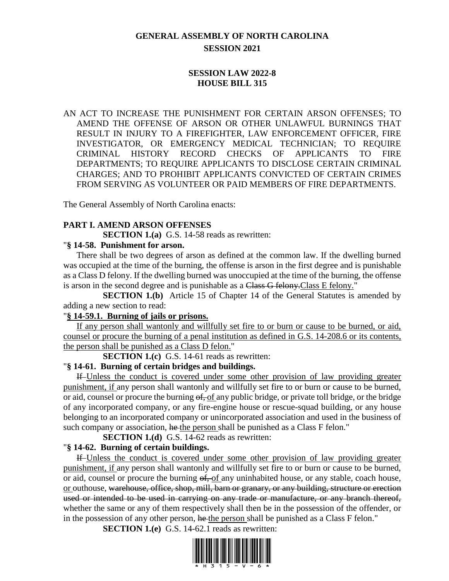# **GENERAL ASSEMBLY OF NORTH CAROLINA SESSION 2021**

# **SESSION LAW 2022-8 HOUSE BILL 315**

AN ACT TO INCREASE THE PUNISHMENT FOR CERTAIN ARSON OFFENSES; TO AMEND THE OFFENSE OF ARSON OR OTHER UNLAWFUL BURNINGS THAT RESULT IN INJURY TO A FIREFIGHTER, LAW ENFORCEMENT OFFICER, FIRE INVESTIGATOR, OR EMERGENCY MEDICAL TECHNICIAN; TO REQUIRE CRIMINAL HISTORY RECORD CHECKS OF APPLICANTS TO FIRE DEPARTMENTS; TO REQUIRE APPLICANTS TO DISCLOSE CERTAIN CRIMINAL CHARGES; AND TO PROHIBIT APPLICANTS CONVICTED OF CERTAIN CRIMES FROM SERVING AS VOLUNTEER OR PAID MEMBERS OF FIRE DEPARTMENTS.

The General Assembly of North Carolina enacts:

### **PART I. AMEND ARSON OFFENSES**

**SECTION 1.(a)** G.S. 14-58 reads as rewritten:

### "**§ 14-58. Punishment for arson.**

There shall be two degrees of arson as defined at the common law. If the dwelling burned was occupied at the time of the burning, the offense is arson in the first degree and is punishable as a Class D felony. If the dwelling burned was unoccupied at the time of the burning, the offense is arson in the second degree and is punishable as a Class G felony. Class E felony."

**SECTION 1.(b)** Article 15 of Chapter 14 of the General Statutes is amended by adding a new section to read:

### "**§ 14-59.1. Burning of jails or prisons.**

If any person shall wantonly and willfully set fire to or burn or cause to be burned, or aid, counsel or procure the burning of a penal institution as defined in G.S. 14-208.6 or its contents, the person shall be punished as a Class D felon."

**SECTION 1.(c)** G.S. 14-61 reads as rewritten:

### "**§ 14-61. Burning of certain bridges and buildings.**

If Unless the conduct is covered under some other provision of law providing greater punishment, if any person shall wantonly and willfully set fire to or burn or cause to be burned, or aid, counsel or procure the burning of, of any public bridge, or private toll bridge, or the bridge of any incorporated company, or any fire-engine house or rescue-squad building, or any house belonging to an incorporated company or unincorporated association and used in the business of such company or association, he the person shall be punished as a Class F felon."

**SECTION 1.(d)** G.S. 14-62 reads as rewritten:

# "**§ 14-62. Burning of certain buildings.**

If Unless the conduct is covered under some other provision of law providing greater punishment, if any person shall wantonly and willfully set fire to or burn or cause to be burned, or aid, counsel or procure the burning  $\Theta$ , of any uninhabited house, or any stable, coach house, or outhouse, warehouse, office, shop, mill, barn or granary, or any building, structure or erection used or intended to be used in carrying on any trade or manufacture, or any branch thereof, whether the same or any of them respectively shall then be in the possession of the offender, or in the possession of any other person, he the person shall be punished as a Class F felon."

**SECTION 1.(e)** G.S. 14-62.1 reads as rewritten:

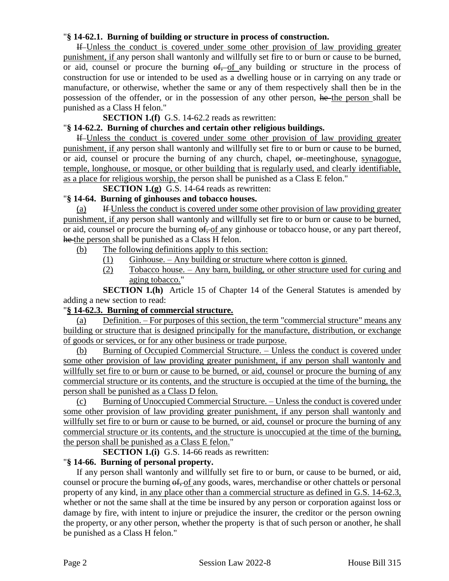## "**§ 14-62.1. Burning of building or structure in process of construction.**

If Unless the conduct is covered under some other provision of law providing greater punishment, if any person shall wantonly and willfully set fire to or burn or cause to be burned, or aid, counsel or procure the burning  $\theta f$ , of any building or structure in the process of construction for use or intended to be used as a dwelling house or in carrying on any trade or manufacture, or otherwise, whether the same or any of them respectively shall then be in the possession of the offender, or in the possession of any other person, he the person shall be punished as a Class H felon."

**SECTION 1.(f)** G.S. 14-62.2 reads as rewritten:

### "**§ 14-62.2. Burning of churches and certain other religious buildings.**

If Unless the conduct is covered under some other provision of law providing greater punishment, if any person shall wantonly and willfully set fire to or burn or cause to be burned, or aid, counsel or procure the burning of any church, chapel, or meetinghouse, synagogue, temple, longhouse, or mosque, or other building that is regularly used, and clearly identifiable, as a place for religious worship, the person shall be punished as a Class E felon."

**SECTION 1.(g)** G.S. 14-64 reads as rewritten:

## "**§ 14-64. Burning of ginhouses and tobacco houses.**

(a) If Unless the conduct is covered under some other provision of law providing greater punishment, if any person shall wantonly and willfully set fire to or burn or cause to be burned, or aid, counsel or procure the burning  $\theta f$ , of any ginhouse or tobacco house, or any part thereof, he the person shall be punished as a Class H felon.

(b) The following definitions apply to this section:

- $(1)$  Ginhouse. Any building or structure where cotton is ginned.
- (2) Tobacco house. Any barn, building, or other structure used for curing and aging tobacco."

**SECTION 1.(h)** Article 15 of Chapter 14 of the General Statutes is amended by adding a new section to read:

### "**§ 14-62.3. Burning of commercial structure.**

(a) Definition. – For purposes of this section, the term "commercial structure" means any building or structure that is designed principally for the manufacture, distribution, or exchange of goods or services, or for any other business or trade purpose.

(b) Burning of Occupied Commercial Structure. – Unless the conduct is covered under some other provision of law providing greater punishment, if any person shall wantonly and willfully set fire to or burn or cause to be burned, or aid, counsel or procure the burning of any commercial structure or its contents, and the structure is occupied at the time of the burning, the person shall be punished as a Class D felon.

(c) Burning of Unoccupied Commercial Structure. – Unless the conduct is covered under some other provision of law providing greater punishment, if any person shall wantonly and willfully set fire to or burn or cause to be burned, or aid, counsel or procure the burning of any commercial structure or its contents, and the structure is unoccupied at the time of the burning, the person shall be punished as a Class E felon."

**SECTION 1.(i)** G.S. 14-66 reads as rewritten:

### "**§ 14-66. Burning of personal property.**

If any person shall wantonly and willfully set fire to or burn, or cause to be burned, or aid, counsel or procure the burning  $\frac{6f}{6}$  any goods, wares, merchandise or other chattels or personal property of any kind, in any place other than a commercial structure as defined in G.S. 14-62.3, whether or not the same shall at the time be insured by any person or corporation against loss or damage by fire, with intent to injure or prejudice the insurer, the creditor or the person owning the property, or any other person, whether the property is that of such person or another, he shall be punished as a Class H felon."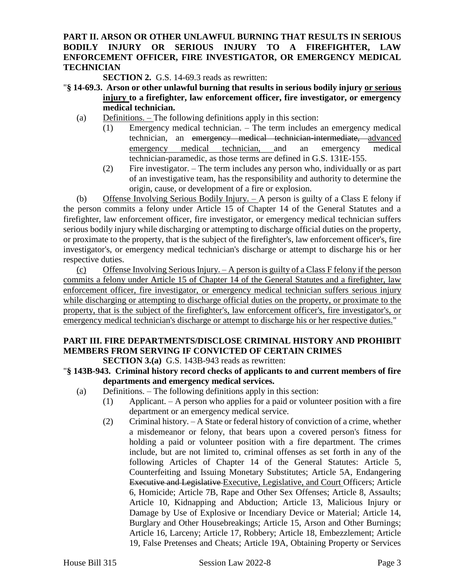# **PART II. ARSON OR OTHER UNLAWFUL BURNING THAT RESULTS IN SERIOUS BODILY INJURY OR SERIOUS INJURY TO A FIREFIGHTER, LAW ENFORCEMENT OFFICER, FIRE INVESTIGATOR, OR EMERGENCY MEDICAL TECHNICIAN**

**SECTION 2.** G.S. 14-69.3 reads as rewritten:

- "**§ 14-69.3. Arson or other unlawful burning that results in serious bodily injury or serious injury to a firefighter, law enforcement officer, fire investigator, or emergency medical technician.**
	- (a) Definitions. The following definitions apply in this section:
		- (1) Emergency medical technician. The term includes an emergency medical technician, an emergency medical technician-intermediate, advanced emergency medical technician, and an emergency medical technician-paramedic, as those terms are defined in G.S. 131E-155.
		- (2) Fire investigator. The term includes any person who, individually or as part of an investigative team, has the responsibility and authority to determine the origin, cause, or development of a fire or explosion.

(b) Offense Involving Serious Bodily Injury. – A person is guilty of a Class E felony if the person commits a felony under Article 15 of Chapter 14 of the General Statutes and a firefighter, law enforcement officer, fire investigator, or emergency medical technician suffers serious bodily injury while discharging or attempting to discharge official duties on the property, or proximate to the property, that is the subject of the firefighter's, law enforcement officer's, fire investigator's, or emergency medical technician's discharge or attempt to discharge his or her respective duties.

(c) Offense Involving Serious Injury.  $-A$  person is guilty of a Class F felony if the person commits a felony under Article 15 of Chapter 14 of the General Statutes and a firefighter, law enforcement officer, fire investigator, or emergency medical technician suffers serious injury while discharging or attempting to discharge official duties on the property, or proximate to the property, that is the subject of the firefighter's, law enforcement officer's, fire investigator's, or emergency medical technician's discharge or attempt to discharge his or her respective duties."

# **PART III. FIRE DEPARTMENTS/DISCLOSE CRIMINAL HISTORY AND PROHIBIT MEMBERS FROM SERVING IF CONVICTED OF CERTAIN CRIMES**

**SECTION 3.(a)** G.S. 143B-943 reads as rewritten:

- "**§ 143B-943. Criminal history record checks of applicants to and current members of fire departments and emergency medical services.**
	- (a) Definitions. The following definitions apply in this section:
		- (1) Applicant. A person who applies for a paid or volunteer position with a fire department or an emergency medical service.
		- (2) Criminal history. A State or federal history of conviction of a crime, whether a misdemeanor or felony, that bears upon a covered person's fitness for holding a paid or volunteer position with a fire department. The crimes include, but are not limited to, criminal offenses as set forth in any of the following Articles of Chapter 14 of the General Statutes: Article 5, Counterfeiting and Issuing Monetary Substitutes; Article 5A, Endangering Executive and Legislative Executive, Legislative, and Court Officers; Article 6, Homicide; Article 7B, Rape and Other Sex Offenses; Article 8, Assaults; Article 10, Kidnapping and Abduction; Article 13, Malicious Injury or Damage by Use of Explosive or Incendiary Device or Material; Article 14, Burglary and Other Housebreakings; Article 15, Arson and Other Burnings; Article 16, Larceny; Article 17, Robbery; Article 18, Embezzlement; Article 19, False Pretenses and Cheats; Article 19A, Obtaining Property or Services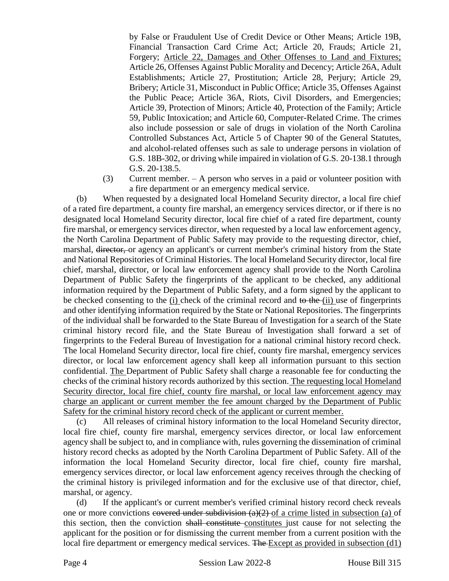by False or Fraudulent Use of Credit Device or Other Means; Article 19B, Financial Transaction Card Crime Act; Article 20, Frauds; Article 21, Forgery; Article 22, Damages and Other Offenses to Land and Fixtures; Article 26, Offenses Against Public Morality and Decency; Article 26A, Adult Establishments; Article 27, Prostitution; Article 28, Perjury; Article 29, Bribery; Article 31, Misconduct in Public Office; Article 35, Offenses Against the Public Peace; Article 36A, Riots, Civil Disorders, and Emergencies; Article 39, Protection of Minors; Article 40, Protection of the Family; Article 59, Public Intoxication; and Article 60, Computer-Related Crime. The crimes also include possession or sale of drugs in violation of the North Carolina Controlled Substances Act, Article 5 of Chapter 90 of the General Statutes, and alcohol-related offenses such as sale to underage persons in violation of G.S. 18B-302, or driving while impaired in violation of G.S. 20-138.1 through G.S. 20-138.5.

(3) Current member. – A person who serves in a paid or volunteer position with a fire department or an emergency medical service.

(b) When requested by a designated local Homeland Security director, a local fire chief of a rated fire department, a county fire marshal, an emergency services director, or if there is no designated local Homeland Security director, local fire chief of a rated fire department, county fire marshal, or emergency services director, when requested by a local law enforcement agency, the North Carolina Department of Public Safety may provide to the requesting director, chief, marshal, director, or agency an applicant's or current member's criminal history from the State and National Repositories of Criminal Histories. The local Homeland Security director, local fire chief, marshal, director, or local law enforcement agency shall provide to the North Carolina Department of Public Safety the fingerprints of the applicant to be checked, any additional information required by the Department of Public Safety, and a form signed by the applicant to be checked consenting to the (i) check of the criminal record and to the (ii) use of fingerprints and other identifying information required by the State or National Repositories. The fingerprints of the individual shall be forwarded to the State Bureau of Investigation for a search of the State criminal history record file, and the State Bureau of Investigation shall forward a set of fingerprints to the Federal Bureau of Investigation for a national criminal history record check. The local Homeland Security director, local fire chief, county fire marshal, emergency services director, or local law enforcement agency shall keep all information pursuant to this section confidential. The Department of Public Safety shall charge a reasonable fee for conducting the checks of the criminal history records authorized by this section. The requesting local Homeland Security director, local fire chief, county fire marshal, or local law enforcement agency may charge an applicant or current member the fee amount charged by the Department of Public Safety for the criminal history record check of the applicant or current member.

(c) All releases of criminal history information to the local Homeland Security director, local fire chief, county fire marshal, emergency services director, or local law enforcement agency shall be subject to, and in compliance with, rules governing the dissemination of criminal history record checks as adopted by the North Carolina Department of Public Safety. All of the information the local Homeland Security director, local fire chief, county fire marshal, emergency services director, or local law enforcement agency receives through the checking of the criminal history is privileged information and for the exclusive use of that director, chief, marshal, or agency.

(d) If the applicant's or current member's verified criminal history record check reveals one or more convictions covered under subdivision  $(a)(2)$  of a crime listed in subsection (a) of this section, then the conviction shall constitute constitutes just cause for not selecting the applicant for the position or for dismissing the current member from a current position with the local fire department or emergency medical services. The Except as provided in subsection (d1)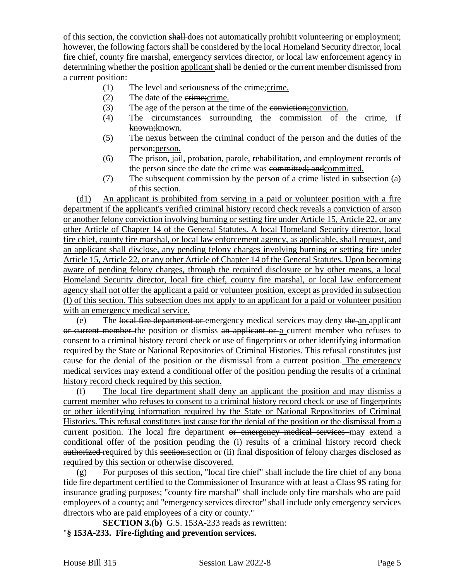of this section, the conviction shall does not automatically prohibit volunteering or employment; however, the following factors shall be considered by the local Homeland Security director, local fire chief, county fire marshal, emergency services director, or local law enforcement agency in determining whether the position applicant shall be denied or the current member dismissed from a current position:

- (1) The level and seriousness of the crime;crime.
- (2) The date of the crime;crime.
- (3) The age of the person at the time of the conviction;conviction.
- (4) The circumstances surrounding the commission of the crime, if known: known.
- (5) The nexus between the criminal conduct of the person and the duties of the person;person.
- (6) The prison, jail, probation, parole, rehabilitation, and employment records of the person since the date the crime was committed; andcommitted.
- (7) The subsequent commission by the person of a crime listed in subsection (a) of this section.

(d1) An applicant is prohibited from serving in a paid or volunteer position with a fire department if the applicant's verified criminal history record check reveals a conviction of arson or another felony conviction involving burning or setting fire under Article 15, Article 22, or any other Article of Chapter 14 of the General Statutes. A local Homeland Security director, local fire chief, county fire marshal, or local law enforcement agency, as applicable, shall request, and an applicant shall disclose, any pending felony charges involving burning or setting fire under Article 15, Article 22, or any other Article of Chapter 14 of the General Statutes. Upon becoming aware of pending felony charges, through the required disclosure or by other means, a local Homeland Security director, local fire chief, county fire marshal, or local law enforcement agency shall not offer the applicant a paid or volunteer position, except as provided in subsection (f) of this section. This subsection does not apply to an applicant for a paid or volunteer position with an emergency medical service.

(e) The local fire department or emergency medical services may deny the an applicant or current member the position or dismiss an applicant or a current member who refuses to consent to a criminal history record check or use of fingerprints or other identifying information required by the State or National Repositories of Criminal Histories. This refusal constitutes just cause for the denial of the position or the dismissal from a current position. The emergency medical services may extend a conditional offer of the position pending the results of a criminal history record check required by this section.

(f) The local fire department shall deny an applicant the position and may dismiss a current member who refuses to consent to a criminal history record check or use of fingerprints or other identifying information required by the State or National Repositories of Criminal Histories. This refusal constitutes just cause for the denial of the position or the dismissal from a current position. The local fire department or emergency medical services may extend a conditional offer of the position pending the (i) results of a criminal history record check authorized required by this section.section or (ii) final disposition of felony charges disclosed as required by this section or otherwise discovered.

(g) For purposes of this section, "local fire chief" shall include the fire chief of any bona fide fire department certified to the Commissioner of Insurance with at least a Class 9S rating for insurance grading purposes; "county fire marshal" shall include only fire marshals who are paid employees of a county; and "emergency services director" shall include only emergency services directors who are paid employees of a city or county."

**SECTION 3.(b)** G.S. 153A-233 reads as rewritten:

"**§ 153A-233. Fire-fighting and prevention services.**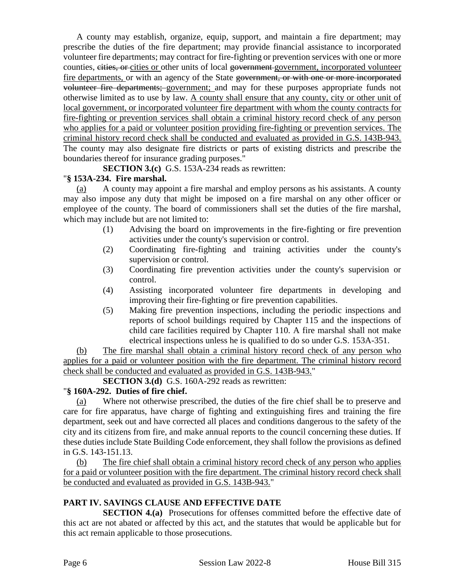A county may establish, organize, equip, support, and maintain a fire department; may prescribe the duties of the fire department; may provide financial assistance to incorporated volunteer fire departments; may contract for fire-fighting or prevention services with one or more counties, eities, or cities or other units of local government government, incorporated volunteer fire departments, or with an agency of the State government, or with one or more incorporated volunteer fire departments; government; and may for these purposes appropriate funds not otherwise limited as to use by law. A county shall ensure that any county, city or other unit of local government, or incorporated volunteer fire department with whom the county contracts for fire-fighting or prevention services shall obtain a criminal history record check of any person who applies for a paid or volunteer position providing fire-fighting or prevention services. The criminal history record check shall be conducted and evaluated as provided in G.S. 143B-943. The county may also designate fire districts or parts of existing districts and prescribe the boundaries thereof for insurance grading purposes."

**SECTION 3.(c)** G.S. 153A-234 reads as rewritten:

# "**§ 153A-234. Fire marshal.**

(a) A county may appoint a fire marshal and employ persons as his assistants. A county may also impose any duty that might be imposed on a fire marshal on any other officer or employee of the county. The board of commissioners shall set the duties of the fire marshal, which may include but are not limited to:

- (1) Advising the board on improvements in the fire-fighting or fire prevention activities under the county's supervision or control.
- (2) Coordinating fire-fighting and training activities under the county's supervision or control.
- (3) Coordinating fire prevention activities under the county's supervision or control.
- (4) Assisting incorporated volunteer fire departments in developing and improving their fire-fighting or fire prevention capabilities.
- (5) Making fire prevention inspections, including the periodic inspections and reports of school buildings required by Chapter 115 and the inspections of child care facilities required by Chapter 110. A fire marshal shall not make electrical inspections unless he is qualified to do so under G.S. 153A-351.

(b) The fire marshal shall obtain a criminal history record check of any person who applies for a paid or volunteer position with the fire department. The criminal history record check shall be conducted and evaluated as provided in G.S. 143B-943."

**SECTION 3.(d)** G.S. 160A-292 reads as rewritten:

# "**§ 160A-292. Duties of fire chief.**

(a) Where not otherwise prescribed, the duties of the fire chief shall be to preserve and care for fire apparatus, have charge of fighting and extinguishing fires and training the fire department, seek out and have corrected all places and conditions dangerous to the safety of the city and its citizens from fire, and make annual reports to the council concerning these duties. If these duties include State Building Code enforcement, they shall follow the provisions as defined in G.S. 143-151.13.

(b) The fire chief shall obtain a criminal history record check of any person who applies for a paid or volunteer position with the fire department. The criminal history record check shall be conducted and evaluated as provided in G.S. 143B-943."

# **PART IV. SAVINGS CLAUSE AND EFFECTIVE DATE**

**SECTION 4.(a)** Prosecutions for offenses committed before the effective date of this act are not abated or affected by this act, and the statutes that would be applicable but for this act remain applicable to those prosecutions.